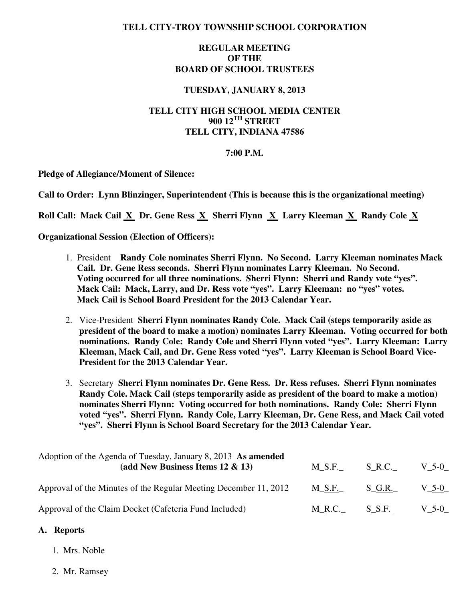## **TELL CITY-TROY TOWNSHIP SCHOOL CORPORATION**

## **REGULAR MEETING OF THE BOARD OF SCHOOL TRUSTEES**

#### **TUESDAY, JANUARY 8, 2013**

# **TELL CITY HIGH SCHOOL MEDIA CENTER 900 12TH STREET TELL CITY, INDIANA 47586**

#### **7:00 P.M.**

**Pledge of Allegiance/Moment of Silence:** 

**Call to Order: Lynn Blinzinger, Superintendent (This is because this is the organizational meeting)** 

 **Roll Call: Mack Cail X Dr. Gene Ress X Sherri Flynn X Larry Kleeman X Randy Cole X** 

**Organizational Session (Election of Officers):** 

- 1. President **Randy Cole nominates Sherri Flynn. No Second. Larry Kleeman nominates Mack Cail. Dr. Gene Ress seconds. Sherri Flynn nominates Larry Kleeman. No Second. Voting occurred for all three nominations. Sherri Flynn: Sherri and Randy vote "yes". Mack Cail: Mack, Larry, and Dr. Ress vote "yes". Larry Kleeman: no "yes" votes. Mack Cail is School Board President for the 2013 Calendar Year.**
- 2. Vice-President **Sherri Flynn nominates Randy Cole. Mack Cail (steps temporarily aside as president of the board to make a motion) nominates Larry Kleeman. Voting occurred for both nominations. Randy Cole: Randy Cole and Sherri Flynn voted "yes". Larry Kleeman: Larry Kleeman, Mack Cail, and Dr. Gene Ress voted "yes". Larry Kleeman is School Board Vice- President for the 2013 Calendar Year.**
- 3. Secretary **Sherri Flynn nominates Dr. Gene Ress. Dr. Ress refuses. Sherri Flynn nominates Randy Cole. Mack Cail (steps temporarily aside as president of the board to make a motion) nominates Sherri Flynn: Voting occurred for both nominations. Randy Cole: Sherri Flynn voted "yes". Sherri Flynn. Randy Cole, Larry Kleeman, Dr. Gene Ress, and Mack Cail voted "yes". Sherri Flynn is School Board Secretary for the 2013 Calendar Year.**

| Adoption of the Agenda of Tuesday, January 8, 2013 As amended<br>(add New Business Items $12 \& 13$ ) | $M\_S.F.$ | S R.C.   | $V_{-}$ 5-0 $_{-}$ |
|-------------------------------------------------------------------------------------------------------|-----------|----------|--------------------|
| Approval of the Minutes of the Regular Meeting December 11, 2012                                      | M S.F.    | S G.R.   | $V$ 5-0            |
| Approval of the Claim Docket (Cafeteria Fund Included)                                                | $M_R.C.$  | $S$ S.F. | $V_{-}$ 5-0 $_{-}$ |

## **A. Reports**

- 1. Mrs. Noble
- 2. Mr. Ramsey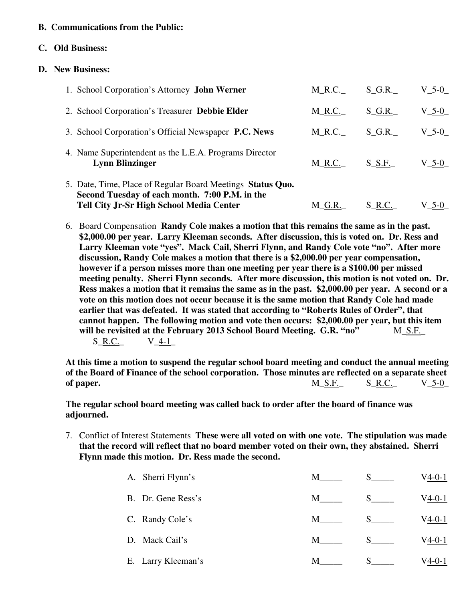## **B. Communications from the Public:**

#### **C. Old Business:**

#### **D. New Business:**

| 1. School Corporation's Attorney <b>John Werner</b>                                                                                                             | $M_R.C.$ | $S_G.R.$   | $V_5$ -0_ |
|-----------------------------------------------------------------------------------------------------------------------------------------------------------------|----------|------------|-----------|
| 2. School Corporation's Treasurer Debbie Elder                                                                                                                  | $M_R.C.$ | $S$ G.R.   | $V_5$ -0_ |
| 3. School Corporation's Official Newspaper P.C. News                                                                                                            | $M_R.C.$ | $S$ G.R.   | $V_5$ -0_ |
| 4. Name Superintendent as the L.E.A. Programs Director<br><b>Lynn Blinzinger</b>                                                                                | M R.C.   | $S$ $S.F.$ | V 5-0     |
| 5. Date, Time, Place of Regular Board Meetings Status Quo.<br>Second Tuesday of each month. 7:00 P.M. in the<br><b>Tell City Jr-Sr High School Media Center</b> | M G.R.   | $S_R.C.$   | $V$ 5-0   |

6. Board Compensation **Randy Cole makes a motion that this remains the same as in the past. \$2,000.00 per year. Larry Kleeman seconds. After discussion, this is voted on. Dr. Ress and Larry Kleeman vote "yes". Mack Cail, Sherri Flynn, and Randy Cole vote "no". After more discussion, Randy Cole makes a motion that there is a \$2,000.00 per year compensation, however if a person misses more than one meeting per year there is a \$100.00 per missed meeting penalty. Sherri Flynn seconds. After more discussion, this motion is not voted on. Dr. Ress makes a motion that it remains the same as in the past. \$2,000.00 per year. A second or a vote on this motion does not occur because it is the same motion that Randy Cole had made earlier that was defeated. It was stated that according to "Roberts Rules of Order", that cannot happen. The following motion and vote then occurs: \$2,000.00 per year, but this item**  will be revisited at the February 2013 School Board Meeting. G.R. "no" M S.F.  $S_R.C.$   $V_4-1$ 

**At this time a motion to suspend the regular school board meeting and conduct the annual meeting of the Board of Finance of the school corporation. Those minutes are reflected on a separate sheet of paper.** M\_S.F.\_ S\_R.C.\_ V\_5-0\_

 **The regular school board meeting was called back to order after the board of finance was adjourned.**

7. Conflict of Interest Statements **These were all voted on with one vote. The stipulation was made that the record will reflect that no board member voted on their own, they abstained. Sherri Flynn made this motion. Dr. Ress made the second.** 

| A. Sherri Flynn's  | М |   | V4-0-1   |
|--------------------|---|---|----------|
| B. Dr. Gene Ress's | M |   | V4-0-1   |
| C. Randy Cole's    | M |   | V4-0-1   |
| D. Mack Cail's     | M | S | V4-0-1   |
| E. Larry Kleeman's | М | S | $V4-0-1$ |